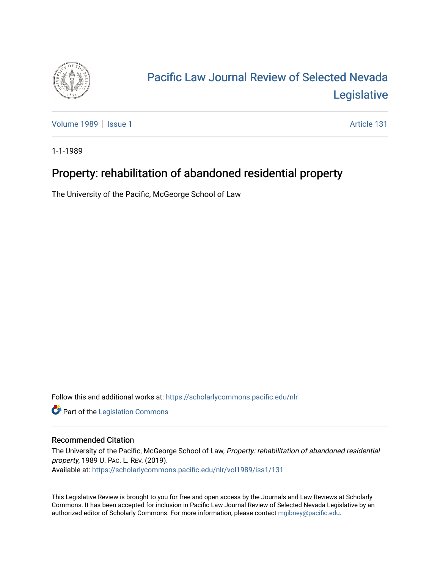

# [Pacific Law Journal Review of Selected Nevada](https://scholarlycommons.pacific.edu/nlr)  [Legislative](https://scholarlycommons.pacific.edu/nlr)

[Volume 1989](https://scholarlycommons.pacific.edu/nlr/vol1989) | [Issue 1](https://scholarlycommons.pacific.edu/nlr/vol1989/iss1) Article 131

1-1-1989

# Property: rehabilitation of abandoned residential property

The University of the Pacific, McGeorge School of Law

Follow this and additional works at: [https://scholarlycommons.pacific.edu/nlr](https://scholarlycommons.pacific.edu/nlr?utm_source=scholarlycommons.pacific.edu%2Fnlr%2Fvol1989%2Fiss1%2F131&utm_medium=PDF&utm_campaign=PDFCoverPages) 

**Part of the [Legislation Commons](http://network.bepress.com/hgg/discipline/859?utm_source=scholarlycommons.pacific.edu%2Fnlr%2Fvol1989%2Fiss1%2F131&utm_medium=PDF&utm_campaign=PDFCoverPages)** 

## Recommended Citation

The University of the Pacific, McGeorge School of Law, Property: rehabilitation of abandoned residential property, 1989 U. PAC. L. REV. (2019). Available at: [https://scholarlycommons.pacific.edu/nlr/vol1989/iss1/131](https://scholarlycommons.pacific.edu/nlr/vol1989/iss1/131?utm_source=scholarlycommons.pacific.edu%2Fnlr%2Fvol1989%2Fiss1%2F131&utm_medium=PDF&utm_campaign=PDFCoverPages) 

This Legislative Review is brought to you for free and open access by the Journals and Law Reviews at Scholarly Commons. It has been accepted for inclusion in Pacific Law Journal Review of Selected Nevada Legislative by an authorized editor of Scholarly Commons. For more information, please contact [mgibney@pacific.edu](mailto:mgibney@pacific.edu).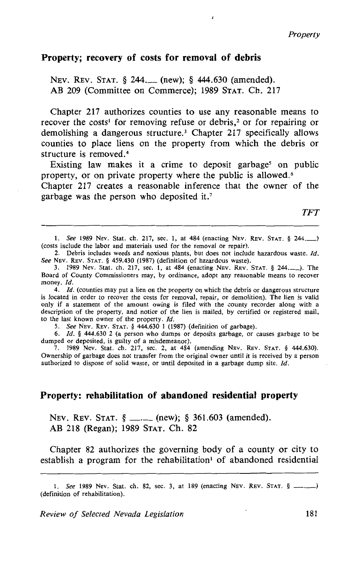#### **Property; recovery of costs for removal of debris**

NEV. REV. STAT. § 244. (new); § 444.630 (amended). AB 209 (Committee on Commerce); 1989 STAT. Ch. 217

Chapter 217 authorizes counties to use any reasonable means to recover the costs<sup>1</sup> for removing refuse or debris,<sup>2</sup> or for repairing or demolishing a dangerous structure.<sup>3</sup> Chapter 217 specifically allows counties to place liens on the property from which the debris or structure is removed.<sup>4</sup>

Existing law makes it a crime to deposit garbage<sup>5</sup> on public property, or on private property where the public is allowed.<sup>6</sup>

Chapter 217 creates a reasonable inference that the owner of the garbage was the person who deposited it.<sup>7</sup>

*TFT* 

1. See 1989 Nev. Stat. ch. 217, sec. 1, at 484 (enacting NEv. REv. STAT. § 244.-) (costs include the labor and materials used for the removal or repair).

2. Debris includes weeds and noxious plants, but does not include hazardous waste. *Id.*  See NEv. REv. STAT. § 459.430 (1987) (definition of hazardous waste).

3. 1989 Nev. Stat. ch. 217, sec. 1, at 484 (enacting NEv. REv. STAT. § 244.-). The Board of County Commissioners may, by ordinance, adopt any reasonable means to recover money. *ld.* 

4. *ld.* (counties may put a lien on the property on which the debris or dangerous structure is located in order to recover the costs for removal, repair, or demolition). The lien is valid only if a statement of the amount owing is filed with the county recorder along with a description of the property, and notice of the lien is mailed, by certified or registered mail, to the last known owner of the property. Id.

5. See NEv. REv. STAT. § 444.630 1 (1987) (definition of garbage).

6. *ld.* § 444.630 2 (a person who dumps or deposits garbage, or causes garbage to be dumped or deposited, is guilty of a misdemeanor).

7. 1989 Nev. Stat. ch. 217, sec. 2, at 484 (amending NEv. REv. STAT. § 444.630). Ownership of garbage does not transfer from the original owner until it is received by a person authorized to dispose of solid waste, or until deposited in a garbage dump site. *Id.* 

### **Property: rehabilitation of abandoned residential property**

NEV. REV. STAT. § -·-(new); § 361.603 (amended). AB 218 (Regan); 1989 STAT. Ch. 82

Chapter 82 authorizes the governing body of a county or city to establish a program for the rehabilitation<sup>1</sup> of abandoned residential

<sup>1.</sup> See 1989 Nev. Stat. ch. 82, sec. 3, at 189 (enacting NEV. REV. STAT. § \_\_\_.\_) (definition of rehabilitation).